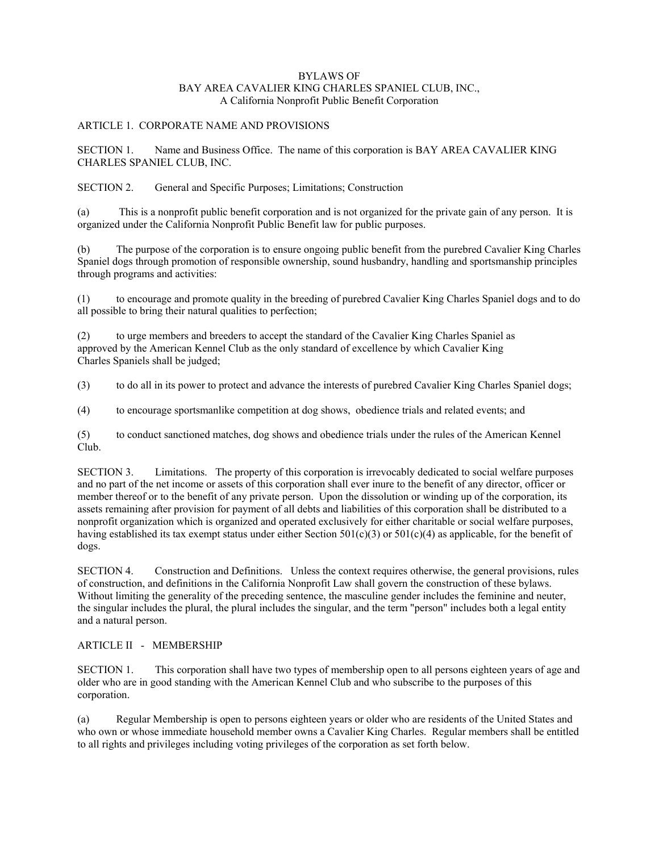#### BYLAWS OF BAY AREA CAVALIER KING CHARLES SPANIEL CLUB, INC., A California Nonprofit Public Benefit Corporation

### ARTICLE 1. CORPORATE NAME AND PROVISIONS

SECTION 1. Name and Business Office. The name of this corporation is BAY AREA CAVALIER KING CHARLES SPANIEL CLUB, INC.

SECTION 2. General and Specific Purposes; Limitations; Construction

(a) This is a nonprofit public benefit corporation and is not organized for the private gain of any person. It is organized under the California Nonprofit Public Benefit law for public purposes.

(b) The purpose of the corporation is to ensure ongoing public benefit from the purebred Cavalier King Charles Spaniel dogs through promotion of responsible ownership, sound husbandry, handling and sportsmanship principles through programs and activities:

(1) to encourage and promote quality in the breeding of purebred Cavalier King Charles Spaniel dogs and to do all possible to bring their natural qualities to perfection;

(2) to urge members and breeders to accept the standard of the Cavalier King Charles Spaniel as approved by the American Kennel Club as the only standard of excellence by which Cavalier King Charles Spaniels shall be judged;

(3) to do all in its power to protect and advance the interests of purebred Cavalier King Charles Spaniel dogs;

(4) to encourage sportsmanlike competition at dog shows, obedience trials and related events; and

(5) to conduct sanctioned matches, dog shows and obedience trials under the rules of the American Kennel Club.

SECTION 3. Limitations. The property of this corporation is irrevocably dedicated to social welfare purposes and no part of the net income or assets of this corporation shall ever inure to the benefit of any director, officer or member thereof or to the benefit of any private person. Upon the dissolution or winding up of the corporation, its assets remaining after provision for payment of all debts and liabilities of this corporation shall be distributed to a nonprofit organization which is organized and operated exclusively for either charitable or social welfare purposes, having established its tax exempt status under either Section  $501(c)(3)$  or  $501(c)(4)$  as applicable, for the benefit of dogs.

SECTION 4. Construction and Definitions. Unless the context requires otherwise, the general provisions, rules of construction, and definitions in the California Nonprofit Law shall govern the construction of these bylaws. Without limiting the generality of the preceding sentence, the masculine gender includes the feminine and neuter, the singular includes the plural, the plural includes the singular, and the term "person" includes both a legal entity and a natural person.

## ARTICLE II - MEMBERSHIP

SECTION 1. This corporation shall have two types of membership open to all persons eighteen years of age and older who are in good standing with the American Kennel Club and who subscribe to the purposes of this corporation.

(a) Regular Membership is open to persons eighteen years or older who are residents of the United States and who own or whose immediate household member owns a Cavalier King Charles. Regular members shall be entitled to all rights and privileges including voting privileges of the corporation as set forth below.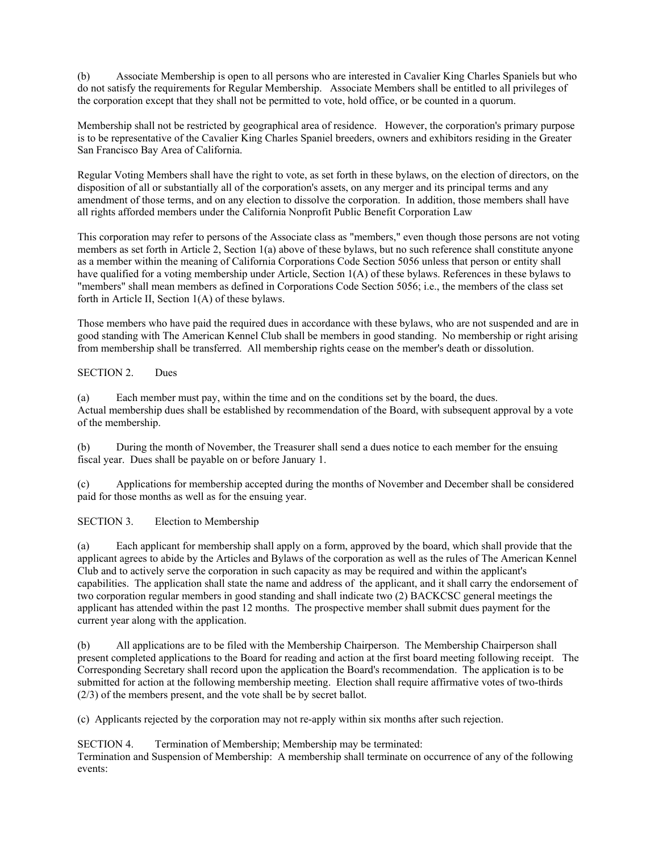(b) Associate Membership is open to all persons who are interested in Cavalier King Charles Spaniels but who do not satisfy the requirements for Regular Membership. Associate Members shall be entitled to all privileges of the corporation except that they shall not be permitted to vote, hold office, or be counted in a quorum.

Membership shall not be restricted by geographical area of residence. However, the corporation's primary purpose is to be representative of the Cavalier King Charles Spaniel breeders, owners and exhibitors residing in the Greater San Francisco Bay Area of California.

Regular Voting Members shall have the right to vote, as set forth in these bylaws, on the election of directors, on the disposition of all or substantially all of the corporation's assets, on any merger and its principal terms and any amendment of those terms, and on any election to dissolve the corporation. In addition, those members shall have all rights afforded members under the California Nonprofit Public Benefit Corporation Law

This corporation may refer to persons of the Associate class as "members," even though those persons are not voting members as set forth in Article 2, Section 1(a) above of these bylaws, but no such reference shall constitute anyone as a member within the meaning of California Corporations Code Section 5056 unless that person or entity shall have qualified for a voting membership under Article, Section 1(A) of these bylaws. References in these bylaws to "members" shall mean members as defined in Corporations Code Section 5056; i.e., the members of the class set forth in Article II, Section 1(A) of these bylaws.

Those members who have paid the required dues in accordance with these bylaws, who are not suspended and are in good standing with The American Kennel Club shall be members in good standing. No membership or right arising from membership shall be transferred. All membership rights cease on the member's death or dissolution.

SECTION 2. Dues

(a) Each member must pay, within the time and on the conditions set by the board, the dues. Actual membership dues shall be established by recommendation of the Board, with subsequent approval by a vote of the membership.

(b) During the month of November, the Treasurer shall send a dues notice to each member for the ensuing fiscal year. Dues shall be payable on or before January 1.

(c) Applications for membership accepted during the months of November and December shall be considered paid for those months as well as for the ensuing year.

SECTION 3. Election to Membership

(a) Each applicant for membership shall apply on a form, approved by the board, which shall provide that the applicant agrees to abide by the Articles and Bylaws of the corporation as well as the rules of The American Kennel Club and to actively serve the corporation in such capacity as may be required and within the applicant's capabilities. The application shall state the name and address of the applicant, and it shall carry the endorsement of two corporation regular members in good standing and shall indicate two (2) BACKCSC general meetings the applicant has attended within the past 12 months. The prospective member shall submit dues payment for the current year along with the application.

(b) All applications are to be filed with the Membership Chairperson. The Membership Chairperson shall present completed applications to the Board for reading and action at the first board meeting following receipt. The Corresponding Secretary shall record upon the application the Board's recommendation. The application is to be submitted for action at the following membership meeting. Election shall require affirmative votes of two-thirds (2/3) of the members present, and the vote shall be by secret ballot.

(c) Applicants rejected by the corporation may not re-apply within six months after such rejection.

SECTION 4. Termination of Membership; Membership may be terminated: Termination and Suspension of Membership: A membership shall terminate on occurrence of any of the following events: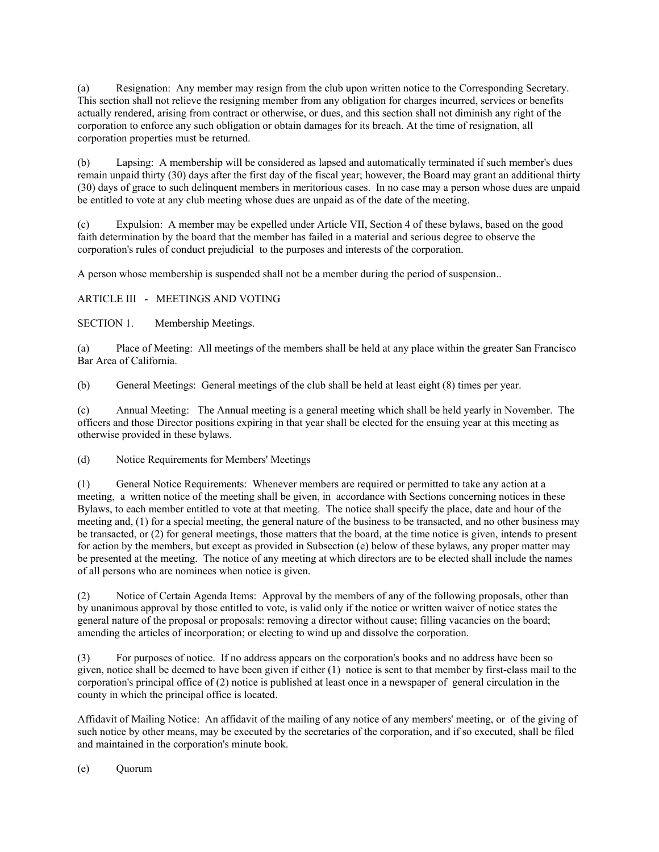(a) Resignation: Any member may resign from the club upon written notice to the Corresponding Secretary. This section shall not relieve the resigning member from any obligation for charges incurred, services or benefits actually rendered, arising from contract or otherwise, or dues, and this section shall not diminish any right of the corporation to enforce any such obligation or obtain damages for its breach. At the time of resignation, all corporation properties must be returned.

(b) Lapsing: A membership will be considered as lapsed and automatically terminated if such member's dues remain unpaid thirty (30) days after the first day of the fiscal year; however, the Board may grant an additional thirty (30) days of grace to such delinquent members in meritorious cases. In no case may a person whose dues are unpaid be entitled to vote at any club meeting whose dues are unpaid as of the date of the meeting.

(c) Expulsion: A member may be expelled under Article VII, Section 4 of these bylaws, based on the good faith determination by the board that the member has failed in a material and serious degree to observe the corporation's rules of conduct prejudicial to the purposes and interests of the corporation.

A person whose membership is suspended shall not be a member during the period of suspension..

## ARTICLE III - MEETINGS AND VOTING

SECTION 1. Membership Meetings.

(a) Place of Meeting: All meetings of the members shall be held at any place within the greater San Francisco Bar Area of California.

(b) General Meetings: General meetings of the club shall be held at least eight (8) times per year.

(c) Annual Meeting: The Annual meeting is a general meeting which shall be held yearly in November. The officers and those Director positions expiring in that year shall be elected for the ensuing year at this meeting as otherwise provided in these bylaws.

(d) Notice Requirements for Members' Meetings

(1) General Notice Requirements: Whenever members are required or permitted to take any action at a meeting, a written notice of the meeting shall be given, in accordance with Sections concerning notices in these Bylaws, to each member entitled to vote at that meeting. The notice shall specify the place, date and hour of the meeting and, (1) for a special meeting, the general nature of the business to be transacted, and no other business may be transacted, or (2) for general meetings, those matters that the board, at the time notice is given, intends to present for action by the members, but except as provided in Subsection (e) below of these bylaws, any proper matter may be presented at the meeting. The notice of any meeting at which directors are to be elected shall include the names of all persons who are nominees when notice is given.

(2) Notice of Certain Agenda Items: Approval by the members of any of the following proposals, other than by unanimous approval by those entitled to vote, is valid only if the notice or written waiver of notice states the general nature of the proposal or proposals: removing a director without cause; filling vacancies on the board; amending the articles of incorporation; or electing to wind up and dissolve the corporation.

(3) For purposes of notice. If no address appears on the corporation's books and no address have been so given, notice shall be deemed to have been given if either (1) notice is sent to that member by first-class mail to the corporation's principal office of (2) notice is published at least once in a newspaper of general circulation in the county in which the principal office is located.

Affidavit of Mailing Notice: An affidavit of the mailing of any notice of any members' meeting, or of the giving of such notice by other means, may be executed by the secretaries of the corporation, and if so executed, shall be filed and maintained in the corporation's minute book.

(e) Quorum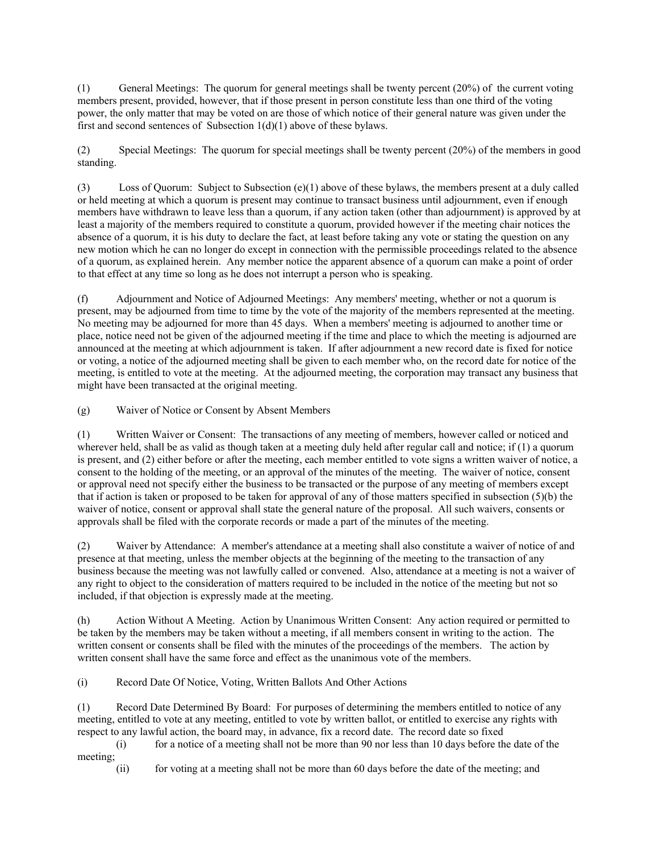(1) General Meetings: The quorum for general meetings shall be twenty percent (20%) of the current voting members present, provided, however, that if those present in person constitute less than one third of the voting power, the only matter that may be voted on are those of which notice of their general nature was given under the first and second sentences of Subsection  $1(d)(1)$  above of these bylaws.

(2) Special Meetings: The quorum for special meetings shall be twenty percent (20%) of the members in good standing.

(3) Loss of Quorum: Subject to Subsection (e)(1) above of these bylaws, the members present at a duly called or held meeting at which a quorum is present may continue to transact business until adjournment, even if enough members have withdrawn to leave less than a quorum, if any action taken (other than adjournment) is approved by at least a majority of the members required to constitute a quorum, provided however if the meeting chair notices the absence of a quorum, it is his duty to declare the fact, at least before taking any vote or stating the question on any new motion which he can no longer do except in connection with the permissible proceedings related to the absence of a quorum, as explained herein. Any member notice the apparent absence of a quorum can make a point of order to that effect at any time so long as he does not interrupt a person who is speaking.

(f) Adjournment and Notice of Adjourned Meetings: Any members' meeting, whether or not a quorum is present, may be adjourned from time to time by the vote of the majority of the members represented at the meeting. No meeting may be adjourned for more than 45 days. When a members' meeting is adjourned to another time or place, notice need not be given of the adjourned meeting if the time and place to which the meeting is adjourned are announced at the meeting at which adjournment is taken. If after adjournment a new record date is fixed for notice or voting, a notice of the adjourned meeting shall be given to each member who, on the record date for notice of the meeting, is entitled to vote at the meeting. At the adjourned meeting, the corporation may transact any business that might have been transacted at the original meeting.

(g) Waiver of Notice or Consent by Absent Members

(1) Written Waiver or Consent: The transactions of any meeting of members, however called or noticed and wherever held, shall be as valid as though taken at a meeting duly held after regular call and notice; if (1) a quorum is present, and (2) either before or after the meeting, each member entitled to vote signs a written waiver of notice, a consent to the holding of the meeting, or an approval of the minutes of the meeting. The waiver of notice, consent or approval need not specify either the business to be transacted or the purpose of any meeting of members except that if action is taken or proposed to be taken for approval of any of those matters specified in subsection (5)(b) the waiver of notice, consent or approval shall state the general nature of the proposal. All such waivers, consents or approvals shall be filed with the corporate records or made a part of the minutes of the meeting.

(2) Waiver by Attendance: A member's attendance at a meeting shall also constitute a waiver of notice of and presence at that meeting, unless the member objects at the beginning of the meeting to the transaction of any business because the meeting was not lawfully called or convened. Also, attendance at a meeting is not a waiver of any right to object to the consideration of matters required to be included in the notice of the meeting but not so included, if that objection is expressly made at the meeting.

(h) Action Without A Meeting. Action by Unanimous Written Consent: Any action required or permitted to be taken by the members may be taken without a meeting, if all members consent in writing to the action. The written consent or consents shall be filed with the minutes of the proceedings of the members. The action by written consent shall have the same force and effect as the unanimous vote of the members.

(i) Record Date Of Notice, Voting, Written Ballots And Other Actions

(1) Record Date Determined By Board: For purposes of determining the members entitled to notice of any meeting, entitled to vote at any meeting, entitled to vote by written ballot, or entitled to exercise any rights with respect to any lawful action, the board may, in advance, fix a record date. The record date so fixed

(i) for a notice of a meeting shall not be more than 90 nor less than 10 days before the date of the meeting;

(ii) for voting at a meeting shall not be more than 60 days before the date of the meeting; and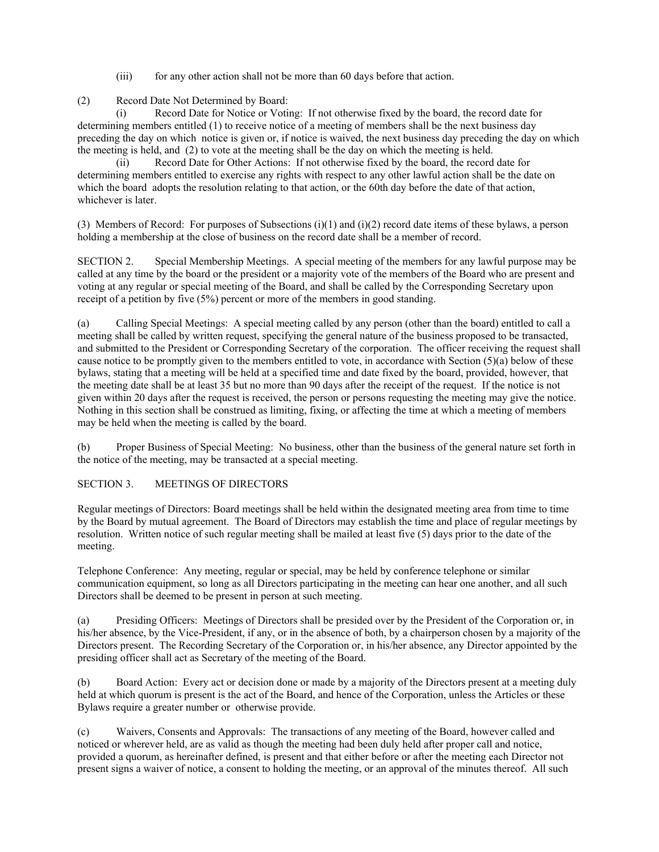(iii) for any other action shall not be more than 60 days before that action.

(2) Record Date Not Determined by Board:

Record Date for Notice or Voting: If not otherwise fixed by the board, the record date for determining members entitled (1) to receive notice of a meeting of members shall be the next business day preceding the day on which notice is given or, if notice is waived, the next business day preceding the day on which the meeting is held, and (2) to vote at the meeting shall be the day on which the meeting is held.

(ii) Record Date for Other Actions: If not otherwise fixed by the board, the record date for determining members entitled to exercise any rights with respect to any other lawful action shall be the date on which the board adopts the resolution relating to that action, or the 60th day before the date of that action, whichever is later.

(3) Members of Record: For purposes of Subsections (i)(1) and (i)(2) record date items of these bylaws, a person holding a membership at the close of business on the record date shall be a member of record.

SECTION 2. Special Membership Meetings. A special meeting of the members for any lawful purpose may be called at any time by the board or the president or a majority vote of the members of the Board who are present and voting at any regular or special meeting of the Board, and shall be called by the Corresponding Secretary upon receipt of a petition by five (5%) percent or more of the members in good standing.

(a) Calling Special Meetings: A special meeting called by any person (other than the board) entitled to call a meeting shall be called by written request, specifying the general nature of the business proposed to be transacted, and submitted to the President or Corresponding Secretary of the corporation. The officer receiving the request shall cause notice to be promptly given to the members entitled to vote, in accordance with Section (5)(a) below of these bylaws, stating that a meeting will be held at a specified time and date fixed by the board, provided, however, that the meeting date shall be at least 35 but no more than 90 days after the receipt of the request. If the notice is not given within 20 days after the request is received, the person or persons requesting the meeting may give the notice. Nothing in this section shall be construed as limiting, fixing, or affecting the time at which a meeting of members may be held when the meeting is called by the board.

(b) Proper Business of Special Meeting: No business, other than the business of the general nature set forth in the notice of the meeting, may be transacted at a special meeting.

## SECTION 3. MEETINGS OF DIRECTORS

Regular meetings of Directors: Board meetings shall be held within the designated meeting area from time to time by the Board by mutual agreement. The Board of Directors may establish the time and place of regular meetings by resolution. Written notice of such regular meeting shall be mailed at least five (5) days prior to the date of the meeting.

Telephone Conference: Any meeting, regular or special, may be held by conference telephone or similar communication equipment, so long as all Directors participating in the meeting can hear one another, and all such Directors shall be deemed to be present in person at such meeting.

(a) Presiding Officers: Meetings of Directors shall be presided over by the President of the Corporation or, in his/her absence, by the Vice-President, if any, or in the absence of both, by a chairperson chosen by a majority of the Directors present. The Recording Secretary of the Corporation or, in his/her absence, any Director appointed by the presiding officer shall act as Secretary of the meeting of the Board.

(b) Board Action: Every act or decision done or made by a majority of the Directors present at a meeting duly held at which quorum is present is the act of the Board, and hence of the Corporation, unless the Articles or these Bylaws require a greater number or otherwise provide.

(c) Waivers, Consents and Approvals: The transactions of any meeting of the Board, however called and noticed or wherever held, are as valid as though the meeting had been duly held after proper call and notice, provided a quorum, as hereinafter defined, is present and that either before or after the meeting each Director not present signs a waiver of notice, a consent to holding the meeting, or an approval of the minutes thereof. All such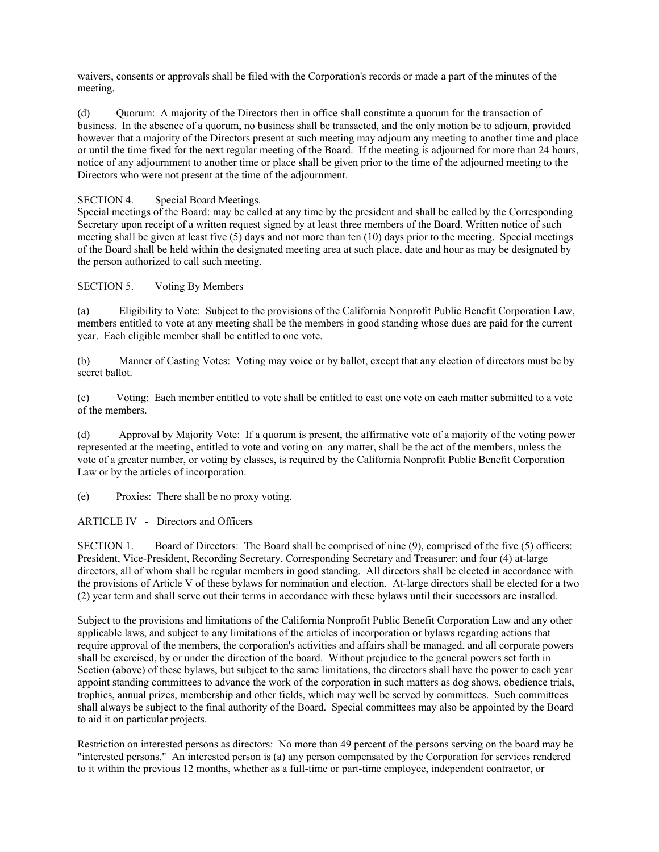waivers, consents or approvals shall be filed with the Corporation's records or made a part of the minutes of the meeting.

(d) Quorum: A majority of the Directors then in office shall constitute a quorum for the transaction of business. In the absence of a quorum, no business shall be transacted, and the only motion be to adjourn, provided however that a majority of the Directors present at such meeting may adjourn any meeting to another time and place or until the time fixed for the next regular meeting of the Board. If the meeting is adjourned for more than 24 hours, notice of any adjournment to another time or place shall be given prior to the time of the adjourned meeting to the Directors who were not present at the time of the adjournment.

SECTION 4. Special Board Meetings.

Special meetings of the Board: may be called at any time by the president and shall be called by the Corresponding Secretary upon receipt of a written request signed by at least three members of the Board. Written notice of such meeting shall be given at least five (5) days and not more than ten (10) days prior to the meeting. Special meetings of the Board shall be held within the designated meeting area at such place, date and hour as may be designated by the person authorized to call such meeting.

SECTION 5. Voting By Members

(a) Eligibility to Vote: Subject to the provisions of the California Nonprofit Public Benefit Corporation Law, members entitled to vote at any meeting shall be the members in good standing whose dues are paid for the current year. Each eligible member shall be entitled to one vote.

(b) Manner of Casting Votes: Voting may voice or by ballot, except that any election of directors must be by secret ballot.

(c) Voting: Each member entitled to vote shall be entitled to cast one vote on each matter submitted to a vote of the members.

(d) Approval by Majority Vote: If a quorum is present, the affirmative vote of a majority of the voting power represented at the meeting, entitled to vote and voting on any matter, shall be the act of the members, unless the vote of a greater number, or voting by classes, is required by the California Nonprofit Public Benefit Corporation Law or by the articles of incorporation.

(e) Proxies: There shall be no proxy voting.

ARTICLE IV - Directors and Officers

SECTION 1. Board of Directors: The Board shall be comprised of nine (9), comprised of the five (5) officers: President, Vice-President, Recording Secretary, Corresponding Secretary and Treasurer; and four (4) at-large directors, all of whom shall be regular members in good standing. All directors shall be elected in accordance with the provisions of Article V of these bylaws for nomination and election. At-large directors shall be elected for a two (2) year term and shall serve out their terms in accordance with these bylaws until their successors are installed.

Subject to the provisions and limitations of the California Nonprofit Public Benefit Corporation Law and any other applicable laws, and subject to any limitations of the articles of incorporation or bylaws regarding actions that require approval of the members, the corporation's activities and affairs shall be managed, and all corporate powers shall be exercised, by or under the direction of the board. Without prejudice to the general powers set forth in Section (above) of these bylaws, but subject to the same limitations, the directors shall have the power to each year appoint standing committees to advance the work of the corporation in such matters as dog shows, obedience trials, trophies, annual prizes, membership and other fields, which may well be served by committees. Such committees shall always be subject to the final authority of the Board. Special committees may also be appointed by the Board to aid it on particular projects.

Restriction on interested persons as directors: No more than 49 percent of the persons serving on the board may be "interested persons." An interested person is (a) any person compensated by the Corporation for services rendered to it within the previous 12 months, whether as a full-time or part-time employee, independent contractor, or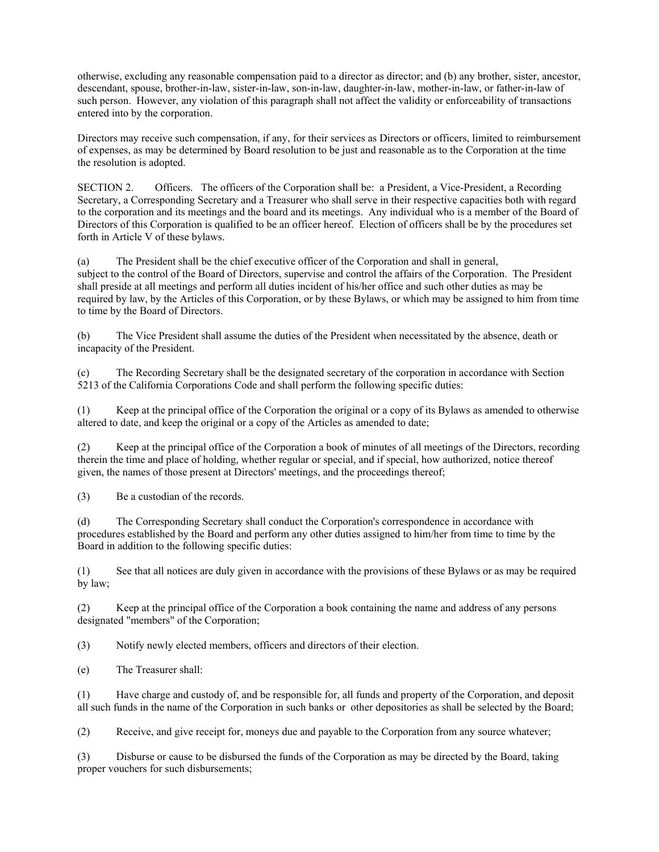otherwise, excluding any reasonable compensation paid to a director as director; and (b) any brother, sister, ancestor, descendant, spouse, brother-in-law, sister-in-law, son-in-law, daughter-in-law, mother-in-law, or father-in-law of such person. However, any violation of this paragraph shall not affect the validity or enforceability of transactions entered into by the corporation.

Directors may receive such compensation, if any, for their services as Directors or officers, limited to reimbursement of expenses, as may be determined by Board resolution to be just and reasonable as to the Corporation at the time the resolution is adopted.

SECTION 2. Officers. The officers of the Corporation shall be: a President, a Vice-President, a Recording Secretary, a Corresponding Secretary and a Treasurer who shall serve in their respective capacities both with regard to the corporation and its meetings and the board and its meetings. Any individual who is a member of the Board of Directors of this Corporation is qualified to be an officer hereof. Election of officers shall be by the procedures set forth in Article V of these bylaws.

(a) The President shall be the chief executive officer of the Corporation and shall in general, subject to the control of the Board of Directors, supervise and control the affairs of the Corporation. The President shall preside at all meetings and perform all duties incident of his/her office and such other duties as may be required by law, by the Articles of this Corporation, or by these Bylaws, or which may be assigned to him from time to time by the Board of Directors.

(b) The Vice President shall assume the duties of the President when necessitated by the absence, death or incapacity of the President.

(c) The Recording Secretary shall be the designated secretary of the corporation in accordance with Section 5213 of the California Corporations Code and shall perform the following specific duties:

(1) Keep at the principal office of the Corporation the original or a copy of its Bylaws as amended to otherwise altered to date, and keep the original or a copy of the Articles as amended to date;

(2) Keep at the principal office of the Corporation a book of minutes of all meetings of the Directors, recording therein the time and place of holding, whether regular or special, and if special, how authorized, notice thereof given, the names of those present at Directors' meetings, and the proceedings thereof;

(3) Be a custodian of the records.

(d) The Corresponding Secretary shall conduct the Corporation's correspondence in accordance with procedures established by the Board and perform any other duties assigned to him/her from time to time by the Board in addition to the following specific duties:

(1) See that all notices are duly given in accordance with the provisions of these Bylaws or as may be required by law;

(2) Keep at the principal office of the Corporation a book containing the name and address of any persons designated "members" of the Corporation;

(3) Notify newly elected members, officers and directors of their election.

(e) The Treasurer shall:

(1) Have charge and custody of, and be responsible for, all funds and property of the Corporation, and deposit all such funds in the name of the Corporation in such banks or other depositories as shall be selected by the Board;

(2) Receive, and give receipt for, moneys due and payable to the Corporation from any source whatever;

(3) Disburse or cause to be disbursed the funds of the Corporation as may be directed by the Board, taking proper vouchers for such disbursements;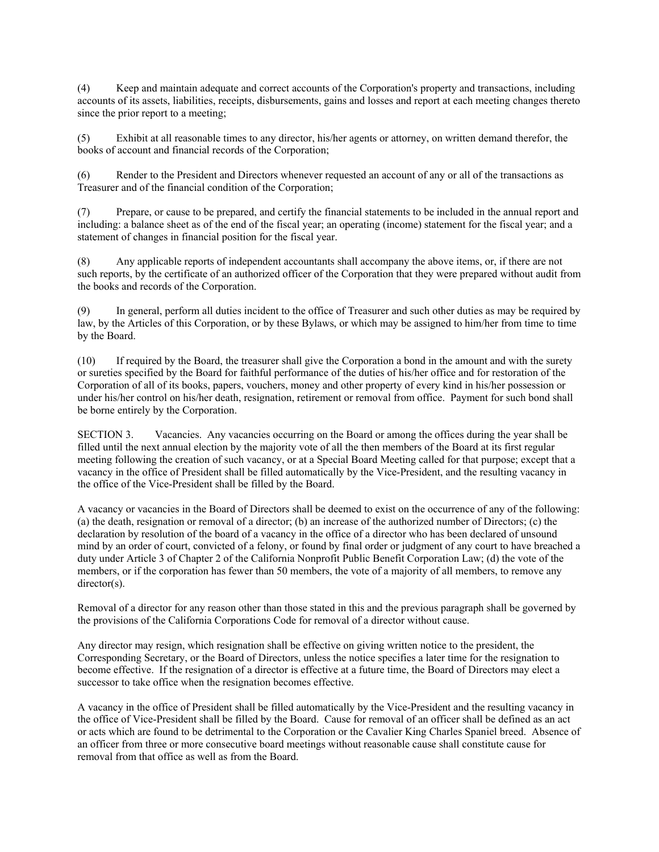(4) Keep and maintain adequate and correct accounts of the Corporation's property and transactions, including accounts of its assets, liabilities, receipts, disbursements, gains and losses and report at each meeting changes thereto since the prior report to a meeting;

(5) Exhibit at all reasonable times to any director, his/her agents or attorney, on written demand therefor, the books of account and financial records of the Corporation;

(6) Render to the President and Directors whenever requested an account of any or all of the transactions as Treasurer and of the financial condition of the Corporation;

(7) Prepare, or cause to be prepared, and certify the financial statements to be included in the annual report and including: a balance sheet as of the end of the fiscal year; an operating (income) statement for the fiscal year; and a statement of changes in financial position for the fiscal year.

(8) Any applicable reports of independent accountants shall accompany the above items, or, if there are not such reports, by the certificate of an authorized officer of the Corporation that they were prepared without audit from the books and records of the Corporation.

(9) In general, perform all duties incident to the office of Treasurer and such other duties as may be required by law, by the Articles of this Corporation, or by these Bylaws, or which may be assigned to him/her from time to time by the Board.

(10) If required by the Board, the treasurer shall give the Corporation a bond in the amount and with the surety or sureties specified by the Board for faithful performance of the duties of his/her office and for restoration of the Corporation of all of its books, papers, vouchers, money and other property of every kind in his/her possession or under his/her control on his/her death, resignation, retirement or removal from office. Payment for such bond shall be borne entirely by the Corporation.

SECTION 3. Vacancies. Any vacancies occurring on the Board or among the offices during the year shall be filled until the next annual election by the majority vote of all the then members of the Board at its first regular meeting following the creation of such vacancy, or at a Special Board Meeting called for that purpose; except that a vacancy in the office of President shall be filled automatically by the Vice-President, and the resulting vacancy in the office of the Vice-President shall be filled by the Board.

A vacancy or vacancies in the Board of Directors shall be deemed to exist on the occurrence of any of the following: (a) the death, resignation or removal of a director; (b) an increase of the authorized number of Directors; (c) the declaration by resolution of the board of a vacancy in the office of a director who has been declared of unsound mind by an order of court, convicted of a felony, or found by final order or judgment of any court to have breached a duty under Article 3 of Chapter 2 of the California Nonprofit Public Benefit Corporation Law; (d) the vote of the members, or if the corporation has fewer than 50 members, the vote of a majority of all members, to remove any director(s).

Removal of a director for any reason other than those stated in this and the previous paragraph shall be governed by the provisions of the California Corporations Code for removal of a director without cause.

Any director may resign, which resignation shall be effective on giving written notice to the president, the Corresponding Secretary, or the Board of Directors, unless the notice specifies a later time for the resignation to become effective. If the resignation of a director is effective at a future time, the Board of Directors may elect a successor to take office when the resignation becomes effective.

A vacancy in the office of President shall be filled automatically by the Vice-President and the resulting vacancy in the office of Vice-President shall be filled by the Board. Cause for removal of an officer shall be defined as an act or acts which are found to be detrimental to the Corporation or the Cavalier King Charles Spaniel breed. Absence of an officer from three or more consecutive board meetings without reasonable cause shall constitute cause for removal from that office as well as from the Board.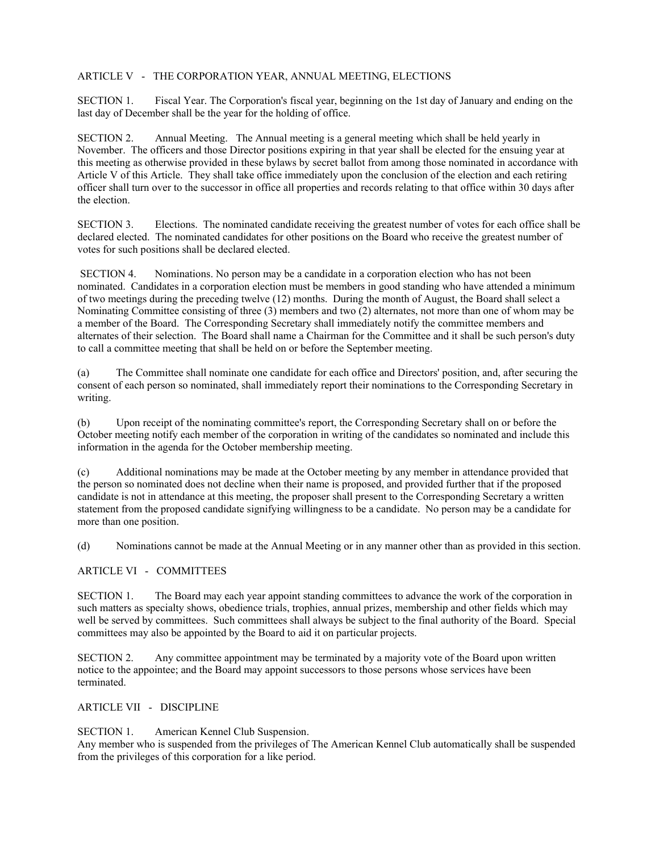## ARTICLE V - THE CORPORATION YEAR, ANNUAL MEETING, ELECTIONS

SECTION 1. Fiscal Year. The Corporation's fiscal year, beginning on the 1st day of January and ending on the last day of December shall be the year for the holding of office.

SECTION 2. Annual Meeting. The Annual meeting is a general meeting which shall be held yearly in November. The officers and those Director positions expiring in that year shall be elected for the ensuing year at this meeting as otherwise provided in these bylaws by secret ballot from among those nominated in accordance with Article V of this Article. They shall take office immediately upon the conclusion of the election and each retiring officer shall turn over to the successor in office all properties and records relating to that office within 30 days after the election.

SECTION 3. Elections. The nominated candidate receiving the greatest number of votes for each office shall be declared elected. The nominated candidates for other positions on the Board who receive the greatest number of votes for such positions shall be declared elected.

 SECTION 4. Nominations. No person may be a candidate in a corporation election who has not been nominated. Candidates in a corporation election must be members in good standing who have attended a minimum of two meetings during the preceding twelve (12) months. During the month of August, the Board shall select a Nominating Committee consisting of three (3) members and two (2) alternates, not more than one of whom may be a member of the Board. The Corresponding Secretary shall immediately notify the committee members and alternates of their selection. The Board shall name a Chairman for the Committee and it shall be such person's duty to call a committee meeting that shall be held on or before the September meeting.

(a) The Committee shall nominate one candidate for each office and Directors' position, and, after securing the consent of each person so nominated, shall immediately report their nominations to the Corresponding Secretary in writing.

(b) Upon receipt of the nominating committee's report, the Corresponding Secretary shall on or before the October meeting notify each member of the corporation in writing of the candidates so nominated and include this information in the agenda for the October membership meeting.

(c) Additional nominations may be made at the October meeting by any member in attendance provided that the person so nominated does not decline when their name is proposed, and provided further that if the proposed candidate is not in attendance at this meeting, the proposer shall present to the Corresponding Secretary a written statement from the proposed candidate signifying willingness to be a candidate. No person may be a candidate for more than one position.

(d) Nominations cannot be made at the Annual Meeting or in any manner other than as provided in this section.

## ARTICLE VI - COMMITTEES

SECTION 1. The Board may each year appoint standing committees to advance the work of the corporation in such matters as specialty shows, obedience trials, trophies, annual prizes, membership and other fields which may well be served by committees. Such committees shall always be subject to the final authority of the Board. Special committees may also be appointed by the Board to aid it on particular projects.

SECTION 2. Any committee appointment may be terminated by a majority vote of the Board upon written notice to the appointee; and the Board may appoint successors to those persons whose services have been terminated.

## ARTICLE VII - DISCIPLINE

SECTION 1. American Kennel Club Suspension.

Any member who is suspended from the privileges of The American Kennel Club automatically shall be suspended from the privileges of this corporation for a like period.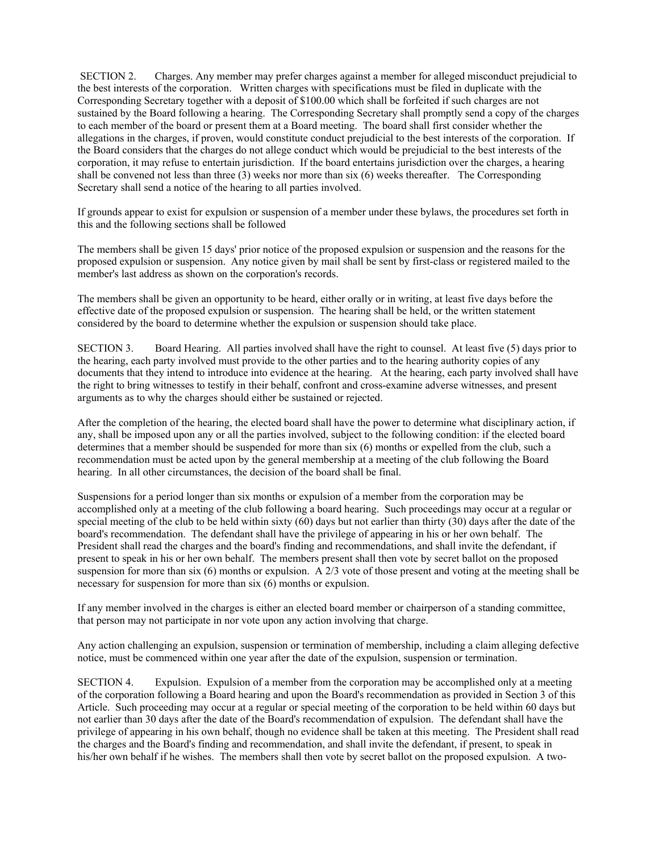SECTION 2. Charges. Any member may prefer charges against a member for alleged misconduct prejudicial to the best interests of the corporation. Written charges with specifications must be filed in duplicate with the Corresponding Secretary together with a deposit of \$100.00 which shall be forfeited if such charges are not sustained by the Board following a hearing. The Corresponding Secretary shall promptly send a copy of the charges to each member of the board or present them at a Board meeting. The board shall first consider whether the allegations in the charges, if proven, would constitute conduct prejudicial to the best interests of the corporation. If the Board considers that the charges do not allege conduct which would be prejudicial to the best interests of the corporation, it may refuse to entertain jurisdiction. If the board entertains jurisdiction over the charges, a hearing shall be convened not less than three (3) weeks nor more than six (6) weeks thereafter. The Corresponding Secretary shall send a notice of the hearing to all parties involved.

If grounds appear to exist for expulsion or suspension of a member under these bylaws, the procedures set forth in this and the following sections shall be followed

The members shall be given 15 days' prior notice of the proposed expulsion or suspension and the reasons for the proposed expulsion or suspension. Any notice given by mail shall be sent by first-class or registered mailed to the member's last address as shown on the corporation's records.

The members shall be given an opportunity to be heard, either orally or in writing, at least five days before the effective date of the proposed expulsion or suspension. The hearing shall be held, or the written statement considered by the board to determine whether the expulsion or suspension should take place.

SECTION 3. Board Hearing. All parties involved shall have the right to counsel. At least five (5) days prior to the hearing, each party involved must provide to the other parties and to the hearing authority copies of any documents that they intend to introduce into evidence at the hearing. At the hearing, each party involved shall have the right to bring witnesses to testify in their behalf, confront and cross-examine adverse witnesses, and present arguments as to why the charges should either be sustained or rejected.

After the completion of the hearing, the elected board shall have the power to determine what disciplinary action, if any, shall be imposed upon any or all the parties involved, subject to the following condition: if the elected board determines that a member should be suspended for more than six (6) months or expelled from the club, such a recommendation must be acted upon by the general membership at a meeting of the club following the Board hearing. In all other circumstances, the decision of the board shall be final.

Suspensions for a period longer than six months or expulsion of a member from the corporation may be accomplished only at a meeting of the club following a board hearing. Such proceedings may occur at a regular or special meeting of the club to be held within sixty  $(60)$  days but not earlier than thirty  $(30)$  days after the date of the board's recommendation. The defendant shall have the privilege of appearing in his or her own behalf. The President shall read the charges and the board's finding and recommendations, and shall invite the defendant, if present to speak in his or her own behalf. The members present shall then vote by secret ballot on the proposed suspension for more than six (6) months or expulsion. A 2/3 vote of those present and voting at the meeting shall be necessary for suspension for more than six (6) months or expulsion.

If any member involved in the charges is either an elected board member or chairperson of a standing committee, that person may not participate in nor vote upon any action involving that charge.

Any action challenging an expulsion, suspension or termination of membership, including a claim alleging defective notice, must be commenced within one year after the date of the expulsion, suspension or termination.

SECTION 4. Expulsion. Expulsion of a member from the corporation may be accomplished only at a meeting of the corporation following a Board hearing and upon the Board's recommendation as provided in Section 3 of this Article. Such proceeding may occur at a regular or special meeting of the corporation to be held within 60 days but not earlier than 30 days after the date of the Board's recommendation of expulsion. The defendant shall have the privilege of appearing in his own behalf, though no evidence shall be taken at this meeting. The President shall read the charges and the Board's finding and recommendation, and shall invite the defendant, if present, to speak in his/her own behalf if he wishes. The members shall then vote by secret ballot on the proposed expulsion. A two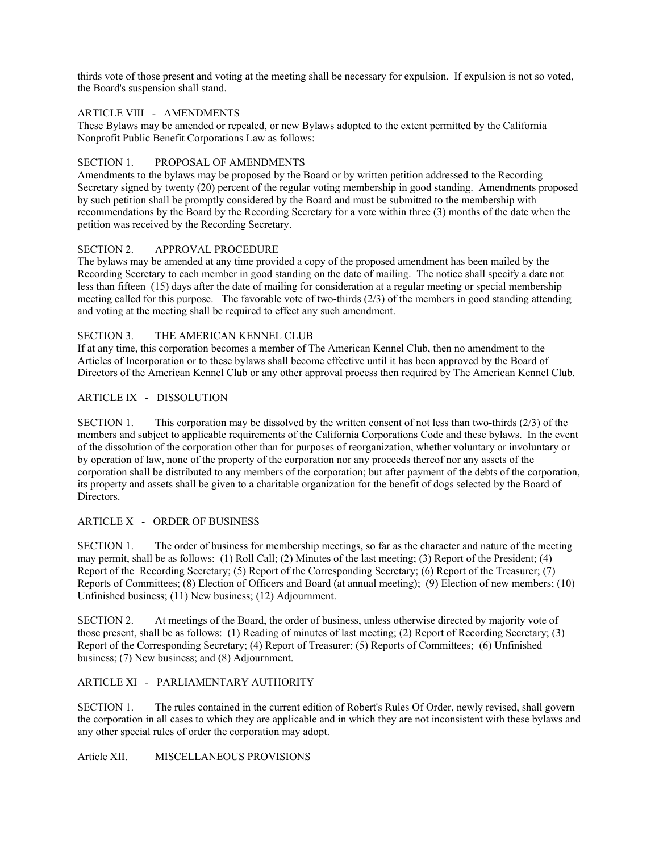thirds vote of those present and voting at the meeting shall be necessary for expulsion. If expulsion is not so voted, the Board's suspension shall stand.

## ARTICLE VIII - AMENDMENTS

These Bylaws may be amended or repealed, or new Bylaws adopted to the extent permitted by the California Nonprofit Public Benefit Corporations Law as follows:

### SECTION 1 PROPOSAL OF AMENDMENTS

Amendments to the bylaws may be proposed by the Board or by written petition addressed to the Recording Secretary signed by twenty (20) percent of the regular voting membership in good standing. Amendments proposed by such petition shall be promptly considered by the Board and must be submitted to the membership with recommendations by the Board by the Recording Secretary for a vote within three (3) months of the date when the petition was received by the Recording Secretary.

### SECTION 2. APPROVAL PROCEDURE

The bylaws may be amended at any time provided a copy of the proposed amendment has been mailed by the Recording Secretary to each member in good standing on the date of mailing. The notice shall specify a date not less than fifteen (15) days after the date of mailing for consideration at a regular meeting or special membership meeting called for this purpose. The favorable vote of two-thirds  $(2/3)$  of the members in good standing attending and voting at the meeting shall be required to effect any such amendment.

### SECTION 3. THE AMERICAN KENNEL CLUB

If at any time, this corporation becomes a member of The American Kennel Club, then no amendment to the Articles of Incorporation or to these bylaws shall become effective until it has been approved by the Board of Directors of the American Kennel Club or any other approval process then required by The American Kennel Club.

## ARTICLE IX - DISSOLUTION

SECTION 1. This corporation may be dissolved by the written consent of not less than two-thirds (2/3) of the members and subject to applicable requirements of the California Corporations Code and these bylaws. In the event of the dissolution of the corporation other than for purposes of reorganization, whether voluntary or involuntary or by operation of law, none of the property of the corporation nor any proceeds thereof nor any assets of the corporation shall be distributed to any members of the corporation; but after payment of the debts of the corporation, its property and assets shall be given to a charitable organization for the benefit of dogs selected by the Board of Directors.

# ARTICLE X - ORDER OF BUSINESS

SECTION 1. The order of business for membership meetings, so far as the character and nature of the meeting may permit, shall be as follows: (1) Roll Call; (2) Minutes of the last meeting; (3) Report of the President; (4) Report of the Recording Secretary; (5) Report of the Corresponding Secretary; (6) Report of the Treasurer; (7) Reports of Committees; (8) Election of Officers and Board (at annual meeting); (9) Election of new members; (10) Unfinished business; (11) New business; (12) Adjournment.

SECTION 2. At meetings of the Board, the order of business, unless otherwise directed by majority vote of those present, shall be as follows: (1) Reading of minutes of last meeting; (2) Report of Recording Secretary; (3) Report of the Corresponding Secretary; (4) Report of Treasurer; (5) Reports of Committees; (6) Unfinished business; (7) New business; and (8) Adjournment.

## ARTICLE XI - PARLIAMENTARY AUTHORITY

SECTION 1. The rules contained in the current edition of Robert's Rules Of Order, newly revised, shall govern the corporation in all cases to which they are applicable and in which they are not inconsistent with these bylaws and any other special rules of order the corporation may adopt.

Article XII. MISCELLANEOUS PROVISIONS